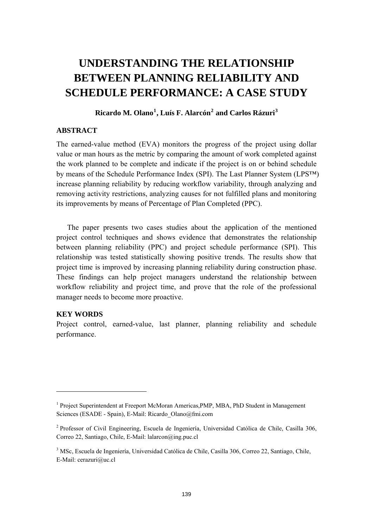# **UNDERSTANDING THE RELATIONSHIP BETWEEN PLANNING RELIABILITY AND SCHEDULE PERFORMANCE: A CASE STUDY**

# **Ricardo M. Olano[1](#page-0-0) , Luís F. Alarcón[2](#page-0-1) and Carlos Rázuri[3](#page-0-2)**

#### **ABSTRACT**

The earned-value method (EVA) monitors the progress of the project using dollar value or man hours as the metric by comparing the amount of work completed against the work planned to be complete and indicate if the project is on or behind schedule by means of the Schedule Performance Index (SPI). The Last Planner System (LPS™) increase planning reliability by reducing workflow variability, through analyzing and removing activity restrictions, analyzing causes for not fulfilled plans and monitoring its improvements by means of Percentage of Plan Completed (PPC).

The paper presents two cases studies about the application of the mentioned project control techniques and shows evidence that demonstrates the relationship between planning reliability (PPC) and project schedule performance (SPI). This relationship was tested statistically showing positive trends. The results show that project time is improved by increasing planning reliability during construction phase. These findings can help project managers understand the relationship between workflow reliability and project time, and prove that the role of the professional manager needs to become more proactive.

### **KEY WORDS**

-

Project control, earned-value, last planner, planning reliability and schedule performance.

<span id="page-0-0"></span><sup>&</sup>lt;sup>1</sup> Project Superintendent at Freeport McMoran Americas, PMP, MBA, PhD Student in Management Sciences (ESADE - Spain), E-Mail: Ricardo\_Olano@fmi.com

<span id="page-0-1"></span><sup>&</sup>lt;sup>2</sup> Professor of Civil Engineering, Escuela de Ingeniería, Universidad Católica de Chile, Casilla 306, Correo 22, Santiago, Chile, E-Mail: lalarcon@ing.puc.cl

<span id="page-0-2"></span><sup>&</sup>lt;sup>3</sup> MSc, Escuela de Ingeniería, Universidad Católica de Chile, Casilla 306, Correo 22, Santiago, Chile, E-Mail: cerazuri@uc.cl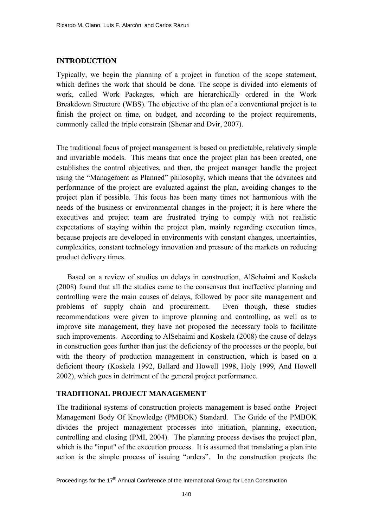#### **INTRODUCTION**

Typically, we begin the planning of a project in function of the scope statement, which defines the work that should be done. The scope is divided into elements of work, called Work Packages, which are hierarchically ordered in the Work Breakdown Structure (WBS). The objective of the plan of a conventional project is to finish the project on time, on budget, and according to the project requirements, commonly called the triple constrain (Shenar and Dvir, 2007).

The traditional focus of project management is based on predictable, relatively simple and invariable models. This means that once the project plan has been created, one establishes the control objectives, and then, the project manager handle the project using the "Management as Planned" philosophy, which means that the advances and performance of the project are evaluated against the plan, avoiding changes to the project plan if possible. This focus has been many times not harmonious with the needs of the business or environmental changes in the project; it is here where the executives and project team are frustrated trying to comply with not realistic expectations of staying within the project plan, mainly regarding execution times, because projects are developed in environments with constant changes, uncertainties, complexities, constant technology innovation and pressure of the markets on reducing product delivery times.

Based on a review of studies on delays in construction, AlSehaimi and Koskela (2008) found that all the studies came to the consensus that ineffective planning and controlling were the main causes of delays, followed by poor site management and problems of supply chain and procurement. Even though, these studies recommendations were given to improve planning and controlling, as well as to improve site management, they have not proposed the necessary tools to facilitate such improvements. According to AlSehaimi and Koskela (2008) the cause of delays in construction goes further than just the deficiency of the processes or the people, but with the theory of production management in construction, which is based on a deficient theory (Koskela 1992, Ballard and Howell 1998, Holy 1999, And Howell 2002), which goes in detriment of the general project performance.

#### **TRADITIONAL PROJECT MANAGEMENT**

The traditional systems of construction projects management is based onthe Project Management Body Of Knowledge (PMBOK) Standard. The Guide of the PMBOK divides the project management processes into initiation, planning, execution, controlling and closing (PMI, 2004). The planning process devises the project plan, which is the "input" of the execution process. It is assumed that translating a plan into action is the simple process of issuing "orders". In the construction projects the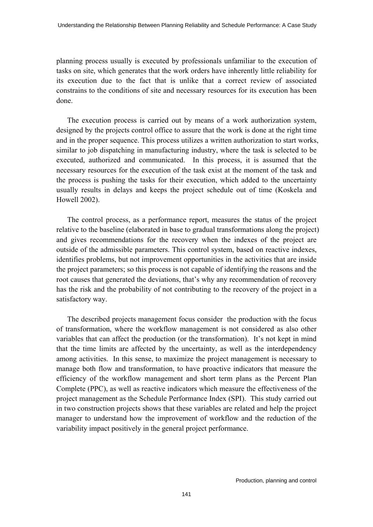planning process usually is executed by professionals unfamiliar to the execution of tasks on site, which generates that the work orders have inherently little reliability for its execution due to the fact that is unlike that a correct review of associated constrains to the conditions of site and necessary resources for its execution has been done.

The execution process is carried out by means of a work authorization system, designed by the projects control office to assure that the work is done at the right time and in the proper sequence. This process utilizes a written authorization to start works, similar to job dispatching in manufacturing industry, where the task is selected to be executed, authorized and communicated. In this process, it is assumed that the necessary resources for the execution of the task exist at the moment of the task and the process is pushing the tasks for their execution, which added to the uncertainty usually results in delays and keeps the project schedule out of time (Koskela and Howell 2002).

The control process, as a performance report, measures the status of the project relative to the baseline (elaborated in base to gradual transformations along the project) and gives recommendations for the recovery when the indexes of the project are outside of the admissible parameters. This control system, based on reactive indexes, identifies problems, but not improvement opportunities in the activities that are inside the project parameters; so this process is not capable of identifying the reasons and the root causes that generated the deviations, that's why any recommendation of recovery has the risk and the probability of not contributing to the recovery of the project in a satisfactory way.

The described projects management focus consider the production with the focus of transformation, where the workflow management is not considered as also other variables that can affect the production (or the transformation). It's not kept in mind that the time limits are affected by the uncertainty, as well as the interdependency among activities. In this sense, to maximize the project management is necessary to manage both flow and transformation, to have proactive indicators that measure the efficiency of the workflow management and short term plans as the Percent Plan Complete (PPC), as well as reactive indicators which measure the effectiveness of the project management as the Schedule Performance Index (SPI). This study carried out in two construction projects shows that these variables are related and help the project manager to understand how the improvement of workflow and the reduction of the variability impact positively in the general project performance.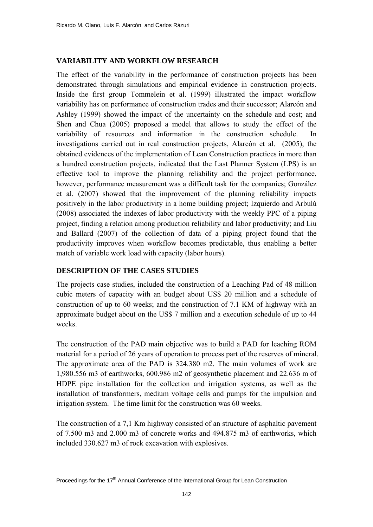# **VARIABILITY AND WORKFLOW RESEARCH**

The effect of the variability in the performance of construction projects has been demonstrated through simulations and empirical evidence in construction projects. Inside the first group Tommelein et al. (1999) illustrated the impact workflow variability has on performance of construction trades and their successor; Alarcón and Ashley (1999) showed the impact of the uncertainty on the schedule and cost; and Shen and Chua (2005) proposed a model that allows to study the effect of the variability of resources and information in the construction schedule. In investigations carried out in real construction projects, Alarcón et al. (2005), the obtained evidences of the implementation of Lean Construction practices in more than a hundred construction projects, indicated that the Last Planner System (LPS) is an effective tool to improve the planning reliability and the project performance, however, performance measurement was a difficult task for the companies; González et al. (2007) showed that the improvement of the planning reliability impacts positively in the labor productivity in a home building project; Izquierdo and Arbulú (2008) associated the indexes of labor productivity with the weekly PPC of a piping project, finding a relation among production reliability and labor productivity; and Liu and Ballard (2007) of the collection of data of a piping project found that the productivity improves when workflow becomes predictable, thus enabling a better match of variable work load with capacity (labor hours).

# **DESCRIPTION OF THE CASES STUDIES**

The projects case studies, included the construction of a Leaching Pad of 48 million cubic meters of capacity with an budget about US\$ 20 million and a schedule of construction of up to 60 weeks; and the construction of 7.1 KM of highway with an approximate budget about on the US\$ 7 million and a execution schedule of up to 44 weeks.

The construction of the PAD main objective was to build a PAD for leaching ROM material for a period of 26 years of operation to process part of the reserves of mineral. The approximate area of the PAD is 324.380 m2. The main volumes of work are 1,980.556 m3 of earthworks, 600.986 m2 of geosynthetic placement and 22.636 m of HDPE pipe installation for the collection and irrigation systems, as well as the installation of transformers, medium voltage cells and pumps for the impulsion and irrigation system. The time limit for the construction was 60 weeks.

The construction of a 7,1 Km highway consisted of an structure of asphaltic pavement of 7.500 m3 and 2.000 m3 of concrete works and 494.875 m3 of earthworks, which included 330.627 m3 of rock excavation with explosives.

Proceedings for the 17<sup>th</sup> Annual Conference of the International Group for Lean Construction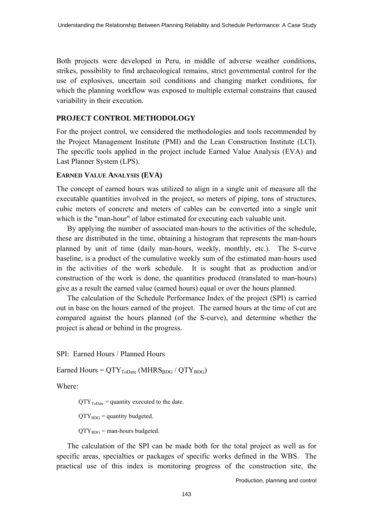Both projects were developed in Peru, in middle of adverse weather conditions, strikes, possibility to find archaeological remains, strict governmental control for the use of explosives, uncertain soil conditions and changing market conditions, for which the planning workflow was exposed to multiple external constrains that caused variability in their execution.

# **PROJECT CONTROL METHODOLOGY**

For the project control, we considered the methodologies and tools recommended by the Project Management Institute (PMI) and the Lean Construction Institute (LCI). The specific tools applied in the project include Earned Value Analysis (EVA) and Last Planner System (LPS).

## **EARNED VALUE ANALYSIS (EVA)**

The concept of earned hours was utilized to align in a single unit of measure all the executable quantities involved in the project, so meters of piping, tons of structures, cubic meters of concrete and meters of cables can be converted into a single unit which is the "man-hour" of labor estimated for executing each valuable unit.

By applying the number of associated man-hours to the activities of the schedule, these are distributed in the time, obtaining a histogram that represents the man-hours planned by unit of time (daily man-hours, weekly, monthly, etc.). The S-curve baseline, is a product of the cumulative weekly sum of the estimated man-hours used in the activities of the work schedule. It is sought that as production and/or construction of the work is done, the quantities produced (translated to man-hours) give as a result the earned value (earned hours) equal or over the hours planned.

The calculation of the Schedule Performance Index of the project (SPI) is carried out in base on the hours earned of the project. The earned hours at the time of cut are compared against the hours planned (of the S-curve), and determine whether the project is ahead or behind in the progress.

SPI: Earned Hours / Planned Hours

Earned Hours =  $QTY_{ToDate}$  (MHRS $_{BDG}$  /  $QTY_{BDG}$ )

Where:

 $QTY<sub>ToDate</sub> = quantity executed to the date.$ 

 $QTY_{BDG}$  = quantity budgeted.

 $QTY_{BDG}$  = man-hours budgeted.

The calculation of the SPI can be made both for the total project as well as for specific areas, specialties or packages of specific works defined in the WBS. The practical use of this index is monitoring progress of the construction site, the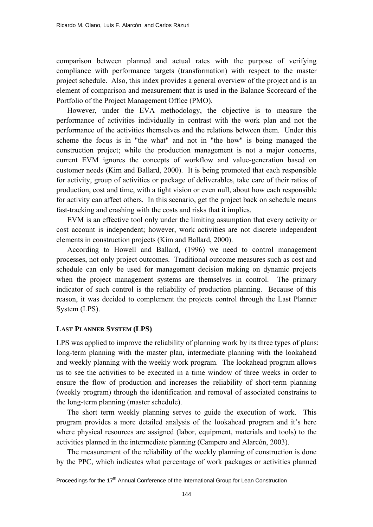comparison between planned and actual rates with the purpose of verifying compliance with performance targets (transformation) with respect to the master project schedule. Also, this index provides a general overview of the project and is an element of comparison and measurement that is used in the Balance Scorecard of the Portfolio of the Project Management Office (PMO).

However, under the EVA methodology, the objective is to measure the performance of activities individually in contrast with the work plan and not the performance of the activities themselves and the relations between them. Under this scheme the focus is in "the what" and not in "the how" is being managed the construction project; while the production management is not a major concerns, current EVM ignores the concepts of workflow and value-generation based on customer needs (Kim and Ballard, 2000). It is being promoted that each responsible for activity, group of activities or package of deliverables, take care of their ratios of production, cost and time, with a tight vision or even null, about how each responsible for activity can affect others. In this scenario, get the project back on schedule means fast-tracking and crashing with the costs and risks that it implies.

EVM is an effective tool only under the limiting assumption that every activity or cost account is independent; however, work activities are not discrete independent elements in construction projects (Kim and Ballard, 2000).

According to Howell and Ballard, (1996) we need to control management processes, not only project outcomes. Traditional outcome measures such as cost and schedule can only be used for management decision making on dynamic projects when the project management systems are themselves in control. The primary indicator of such control is the reliability of production planning. Because of this reason, it was decided to complement the projects control through the Last Planner System (LPS).

#### **LAST PLANNER SYSTEM (LPS)**

LPS was applied to improve the reliability of planning work by its three types of plans: long-term planning with the master plan, intermediate planning with the lookahead and weekly planning with the weekly work program. The lookahead program allows us to see the activities to be executed in a time window of three weeks in order to ensure the flow of production and increases the reliability of short-term planning (weekly program) through the identification and removal of associated constrains to the long-term planning (master schedule).

The short term weekly planning serves to guide the execution of work. This program provides a more detailed analysis of the lookahead program and it's here where physical resources are assigned (labor, equipment, materials and tools) to the activities planned in the intermediate planning (Campero and Alarcón, 2003).

The measurement of the reliability of the weekly planning of construction is done by the PPC, which indicates what percentage of work packages or activities planned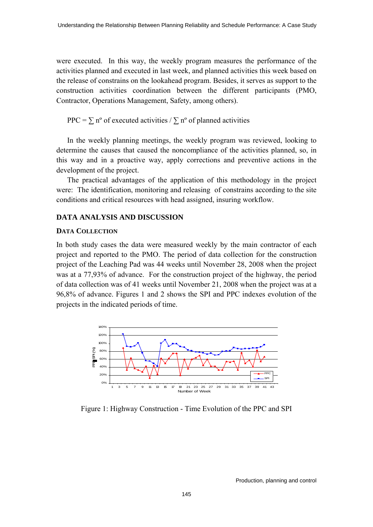were executed. In this way, the weekly program measures the performance of the activities planned and executed in last week, and planned activities this week based on the release of constrains on the lookahead program. Besides, it serves as support to the construction activities coordination between the different participants (PMO, Contractor, Operations Management, Safety, among others).

PPC =  $\sum$  n° of executed activities /  $\sum$  n° of planned activities

In the weekly planning meetings, the weekly program was reviewed, looking to determine the causes that caused the noncompliance of the activities planned, so, in this way and in a proactive way, apply corrections and preventive actions in the development of the project.

The practical advantages of the application of this methodology in the project were: The identification, monitoring and releasing of constrains according to the site conditions and critical resources with head assigned, insuring workflow.

# **DATA ANALYSIS AND DISCUSSION**

## **DATA COLLECTION**

In both study cases the data were measured weekly by the main contractor of each project and reported to the PMO. The period of data collection for the construction project of the Leaching Pad was 44 weeks until November 28, 2008 when the project was at a 77,93% of advance. For the construction project of the highway, the period of data collection was of 41 weeks until November 21, 2008 when the project was at a 96,8% of advance. Figures 1 and 2 shows the SPI and PPC indexes evolution of the projects in the indicated periods of time.



Figure 1: Highway Construction - Time Evolution of the PPC and SPI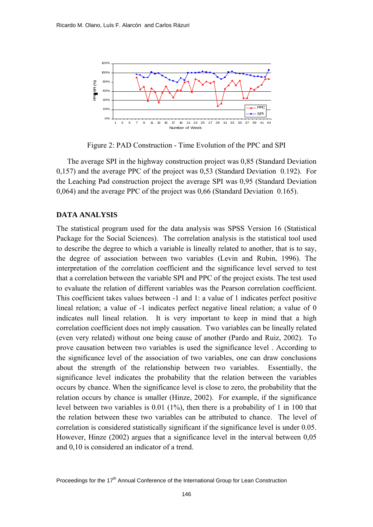

Figure 2: PAD Construction - Time Evolution of the PPC and SPI

The average SPI in the highway construction project was 0,85 (Standard Deviation 0,157) and the average PPC of the project was 0,53 (Standard Deviation 0.192). For the Leaching Pad construction project the average SPI was 0,95 (Standard Deviation 0,064) and the average PPC of the project was 0,66 (Standard Deviation 0.165).

#### **DATA ANALYSIS**

The statistical program used for the data analysis was SPSS Version 16 (Statistical Package for the Social Sciences). The correlation analysis is the statistical tool used to describe the degree to which a variable is lineally related to another, that is to say, the degree of association between two variables (Levin and Rubin, 1996). The interpretation of the correlation coefficient and the significance level served to test that a correlation between the variable SPI and PPC of the project exists. The test used to evaluate the relation of different variables was the Pearson correlation coefficient. This coefficient takes values between -1 and 1: a value of 1 indicates perfect positive lineal relation; a value of -1 indicates perfect negative lineal relation; a value of 0 indicates null lineal relation. It is very important to keep in mind that a high correlation coefficient does not imply causation. Two variables can be lineally related (even very related) without one being cause of another (Pardo and Ruiz, 2002). To prove causation between two variables is used the significance level . According to the significance level of the association of two variables, one can draw conclusions about the strength of the relationship between two variables. Essentially, the significance level indicates the probability that the relation between the variables occurs by chance. When the significance level is close to zero, the probability that the relation occurs by chance is smaller (Hinze, 2002). For example, if the significance level between two variables is 0.01 (1%), then there is a probability of 1 in 100 that the relation between these two variables can be attributed to chance. The level of correlation is considered statistically significant if the significance level is under 0.05. However, Hinze (2002) argues that a significance level in the interval between 0,05 and 0,10 is considered an indicator of a trend.

Proceedings for the 17<sup>th</sup> Annual Conference of the International Group for Lean Construction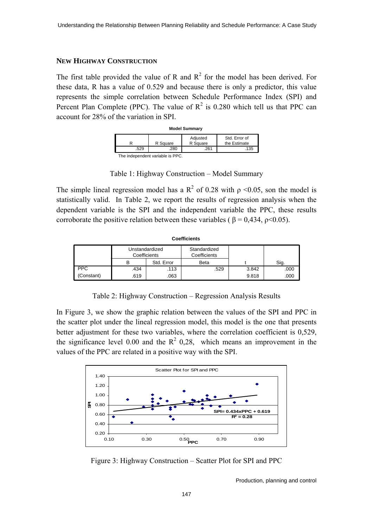#### **NEW HIGHWAY CONSTRUCTION**

The first table provided the value of R and  $R^2$  for the model has been derived. For these data, R has a value of 0.529 and because there is only a predictor, this value represents the simple correlation between Schedule Performance Index (SPI) and Percent Plan Complete (PPC). The value of  $R^2$  is 0.280 which tell us that PPC can account for 28% of the variation in SPI.

| <b>Model Summary</b>            |          |                      |                               |  |  |
|---------------------------------|----------|----------------------|-------------------------------|--|--|
|                                 | R Square | Adjusted<br>R Square | Std. Error of<br>the Estimate |  |  |
| .529                            | 280      | 261                  | .135                          |  |  |
| The independent veriable in DDC |          |                      |                               |  |  |

The independent variable is PPC.

Table 1: Highway Construction – Model Summary

The simple lineal regression model has a  $\mathbb{R}^2$  of 0.28 with  $\rho \le 0.05$ , son the model is statistically valid. In Table 2, we report the results of regression analysis when the dependent variable is the SPI and the independent variable the PPC, these results corroborate the positive relation between these variables ( $\beta = 0.434$ ,  $\rho \le 0.05$ ).

| ovemune    |                                |            |                              |       |      |  |
|------------|--------------------------------|------------|------------------------------|-------|------|--|
|            | Unstandardized<br>Coefficients |            | Standardized<br>Coefficients |       |      |  |
|            | в                              | Std. Error | <b>Beta</b>                  |       | Sig. |  |
| <b>PPC</b> | .434                           | .113       | .529                         | 3.842 | .000 |  |
| (Constant) | .619                           | .063       |                              | 9.818 | .000 |  |

**Coefficients**

Table 2: Highway Construction – Regression Analysis Results

In Figure 3, we show the graphic relation between the values of the SPI and PPC in the scatter plot under the lineal regression model, this model is the one that presents better adjustment for these two variables, where the correlation coefficient is 0,529, the significance level 0.00 and the  $R^2$  0,28, which means an improvement in the values of the PPC are related in a positive way with the SPI.



Figure 3: Highway Construction – Scatter Plot for SPI and PPC

Production, planning and control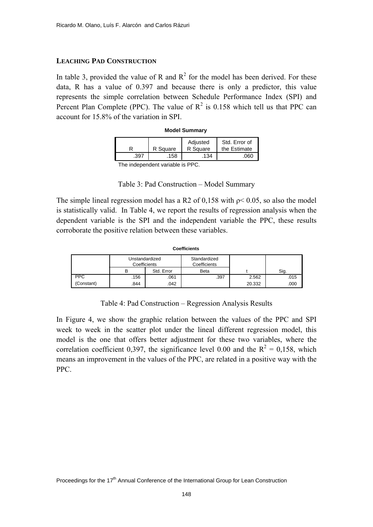#### **LEACHING PAD CONSTRUCTION**

In table 3, provided the value of R and  $\mathbb{R}^2$  for the model has been derived. For these data, R has a value of 0.397 and because there is only a predictor, this value represents the simple correlation between Schedule Performance Index (SPI) and Percent Plan Complete (PPC). The value of  $R^2$  is 0.158 which tell us that PPC can account for 15.8% of the variation in SPI.

| <b>Model Summary</b> |          |                      |                               |  |
|----------------------|----------|----------------------|-------------------------------|--|
|                      | R Square | Adjusted<br>R Square | Std. Error of<br>the Estimate |  |
| .397                 | .158     | .134                 | )60                           |  |

The independent variable is PPC.

The simple lineal regression model has a R2 of 0,158 with  $p < 0.05$ , so also the model is statistically valid. In Table 4, we report the results of regression analysis when the dependent variable is the SPI and the independent variable the PPC, these results corroborate the positive relation between these variables.

| <b>Coefficients</b> |                                |            |                              |        |      |  |
|---------------------|--------------------------------|------------|------------------------------|--------|------|--|
|                     | Unstandardized<br>Coefficients |            | Standardized<br>Coefficients |        |      |  |
|                     | в                              | Std. Error | <b>Beta</b>                  |        | Sig. |  |
| <b>PPC</b>          | .156                           | .061       | .397                         | 2.562  | .015 |  |
| (Constant)          | .844                           | .042       |                              | 20.332 | .000 |  |

Table 4: Pad Construction – Regression Analysis Results

In Figure 4, we show the graphic relation between the values of the PPC and SPI week to week in the scatter plot under the lineal different regression model, this model is the one that offers better adjustment for these two variables, where the correlation coefficient 0,397, the significance level 0.00 and the  $R^2 = 0.158$ , which means an improvement in the values of the PPC, are related in a positive way with the PPC.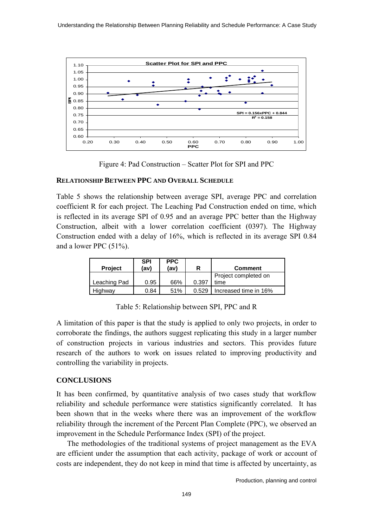

Figure 4: Pad Construction – Scatter Plot for SPI and PPC

#### **RELATIONSHIP BETWEEN PPC AND OVERALL SCHEDULE**

Table 5 shows the relationship between average SPI, average PPC and correlation coefficient R for each project. The Leaching Pad Construction ended on time, which is reflected in its average SPI of 0.95 and an average PPC better than the Highway Construction, albeit with a lower correlation coefficient (0397). The Highway Construction ended with a delay of 16%, which is reflected in its average SPI 0.84 and a lower PPC (51%).

| <b>Project</b> | SPI<br>(av) | <b>PPC</b><br>(av) |       | <b>Comment</b>        |
|----------------|-------------|--------------------|-------|-----------------------|
|                |             |                    |       | Project completed on  |
| Leaching Pad   | 0.95        | 66%                | 0.397 | time                  |
| Highway        | 0.84        | 51%                | 0.529 | Increased time in 16% |

Table 5: Relationship between SPI, PPC and R

A limitation of this paper is that the study is applied to only two projects, in order to corroborate the findings, the authors suggest replicating this study in a larger number of construction projects in various industries and sectors. This provides future research of the authors to work on issues related to improving productivity and controlling the variability in projects.

# **CONCLUSIONS**

It has been confirmed, by quantitative analysis of two cases study that workflow reliability and schedule performance were statistics significantly correlated. It has been shown that in the weeks where there was an improvement of the workflow reliability through the increment of the Percent Plan Complete (PPC), we observed an improvement in the Schedule Performance Index (SPI) of the project.

The methodologies of the traditional systems of project management as the EVA are efficient under the assumption that each activity, package of work or account of costs are independent, they do not keep in mind that time is affected by uncertainty, as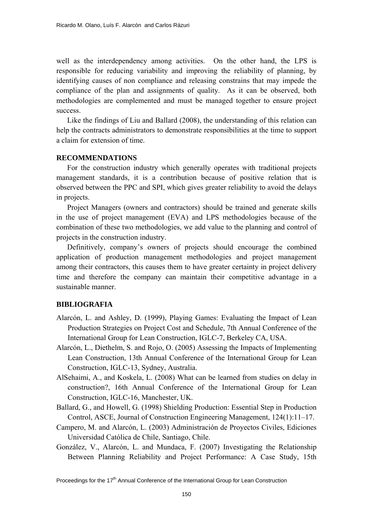well as the interdependency among activities. On the other hand, the LPS is responsible for reducing variability and improving the reliability of planning, by identifying causes of non compliance and releasing constrains that may impede the compliance of the plan and assignments of quality. As it can be observed, both methodologies are complemented and must be managed together to ensure project success.

Like the findings of Liu and Ballard (2008), the understanding of this relation can help the contracts administrators to demonstrate responsibilities at the time to support a claim for extension of time.

#### **RECOMMENDATIONS**

For the construction industry which generally operates with traditional projects management standards, it is a contribution because of positive relation that is observed between the PPC and SPI, which gives greater reliability to avoid the delays in projects.

Project Managers (owners and contractors) should be trained and generate skills in the use of project management (EVA) and LPS methodologies because of the combination of these two methodologies, we add value to the planning and control of projects in the construction industry.

Definitively, company's owners of projects should encourage the combined application of production management methodologies and project management among their contractors, this causes them to have greater certainty in project delivery time and therefore the company can maintain their competitive advantage in a sustainable manner.

## **BIBLIOGRAFIA**

- Alarcón, L. and Ashley, D. (1999), Playing Games: Evaluating the Impact of Lean Production Strategies on Project Cost and Schedule, 7th Annual Conference of the International Group for Lean Construction, IGLC-7, Berkeley CA, USA.
- Alarcón, L., Diethelm, S. and Rojo, O. (2005) Assessing the Impacts of Implementing Lean Construction, 13th Annual Conference of the International Group for Lean Construction, IGLC-13, Sydney, Australia.
- AlSehaimi, A., and Koskela, L. (2008) What can be learned from studies on delay in construction?, 16th Annual Conference of the International Group for Lean Construction, IGLC-16, Manchester, UK.
- Ballard, G., and Howell, G. (1998) Shielding Production: Essential Step in Production Control, ASCE, Journal of Construction Engineering Management, 124(1):11–17.
- Campero, M. and Alarcón, L. (2003) Administración de Proyectos Civiles, Ediciones Universidad Católica de Chile, Santiago, Chile.
- González, V., Alarcón, L. and Mundaca, F. (2007) Investigating the Relationship Between Planning Reliability and Project Performance: A Case Study, 15th

Proceedings for the 17<sup>th</sup> Annual Conference of the International Group for Lean Construction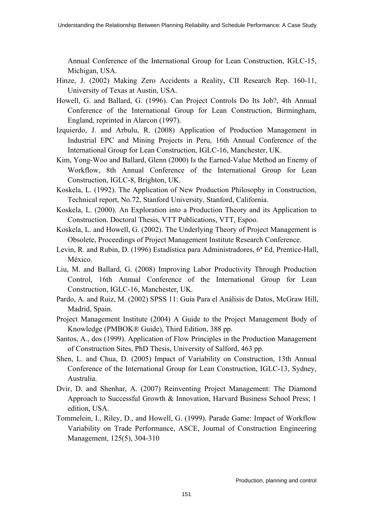Annual Conference of the International Group for Lean Construction, IGLC-15, Michigan, USA.

- Hinze, J. (2002) Making Zero Accidents a Reality, CII Research Rep. 160-11, University of Texas at Austin, USA.
- Howell, G. and Ballard, G. (1996). Can Project Controls Do Its Job?, 4th Annual Conference of the International Group for Lean Construction, Birmingham, England, reprinted in Alarcon (1997).
- Izquierdo, J. and Arbulu, R. (2008) Application of Production Management in Industrial EPC and Mining Projects in Peru, 16th Annual Conference of the International Group for Lean Construction, IGLC-16, Manchester, UK.
- Kim, Yong-Woo and Ballard, Glenn (2000) Is the Earned-Value Method an Enemy of Workflow, 8th Annual Conference of the International Group for Lean Construction, IGLC-8, Brighton, UK.
- Koskela, L. (1992). The Application of New Production Philosophy in Construction, Technical report, No.72, Stanford University, Stanford, California.
- Koskela, L. (2000). An Exploration into a Production Theory and its Application to Construction. Doctoral Thesis, VTT Publications, VTT, Espoo.
- Koskela, L. and Howell, G. (2002). The Underlying Theory of Project Management is Obsolete, Proceedings of Project Management Institute Research Conference.
- Levin, R. and Rubin, D. (1996) Estadística para Administradores, 6ª Ed, Prentice-Hall, México.
- Liu, M. and Ballard, G. (2008) Improving Labor Productivity Through Production Control, 16th Annual Conference of the International Group for Lean Construction, IGLC-16, Manchester, UK.
- Pardo, A. and Ruiz, M. (2002) SPSS 11: Guía Para el Análisis de Datos, McGraw Hill, Madrid, Spain.
- Project Management Institute (2004) A Guide to the Project Management Body of Knowledge (PMBOK® Guide), Third Edition, 388 pp.
- Santos, A., dos (1999). Application of Flow Principles in the Production Management of Construction Sites, PhD Thesis, University of Salford, 463 pp.
- Shen, L. and Chua, D. (2005) Impact of Variability on Construction, 13th Annual Conference of the International Group for Lean Construction, IGLC-13, Sydney, Australia.
- Dvir, D. and Shenhar, A. (2007) Reinventing Project Management: The Diamond Approach to Successful Growth & Innovation, Harvard Business School Press; 1 edition, USA.
- Tommelein, I., Riley, D., and Howell, G. (1999). Parade Game: Impact of Workflow Variability on Trade Performance, ASCE, Journal of Construction Engineering Management, 125(5), 304-310